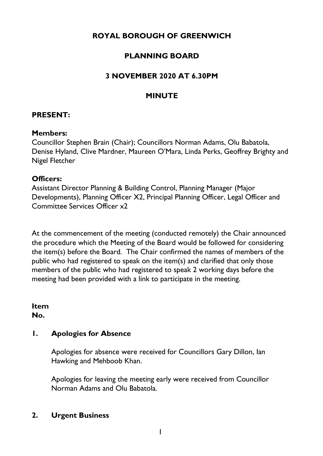# **ROYAL BOROUGH OF GREENWICH**

# **PLANNING BOARD**

# **3 NOVEMBER 2020 AT 6.30PM**

### **MINUTE**

### **PRESENT:**

#### **Members:**

Councillor Stephen Brain (Chair); Councillors Norman Adams, Olu Babatola, Denise Hyland, Clive Mardner, Maureen O'Mara, Linda Perks, Geoffrey Brighty and Nigel Fletcher

#### **Officers:**

Assistant Director Planning & Building Control, Planning Manager (Major Developments), Planning Officer X2, Principal Planning Officer, Legal Officer and Committee Services Officer x2

At the commencement of the meeting (conducted remotely) the Chair announced the procedure which the Meeting of the Board would be followed for considering the item(s) before the Board. The Chair confirmed the names of members of the public who had registered to speak on the item(s) and clarified that only those members of the public who had registered to speak 2 working days before the meeting had been provided with a link to participate in the meeting.

**Item No.**

### **1. Apologies for Absence**

Apologies for absence were received for Councillors Gary Dillon, Ian Hawking and Mehboob Khan.

Apologies for leaving the meeting early were received from Councillor Norman Adams and Olu Babatola.

### **2. Urgent Business**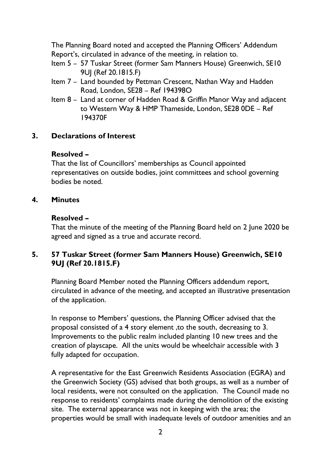The Planning Board noted and accepted the Planning Officers' Addendum Report's, circulated in advance of the meeting, in relation to.

- Item 5 57 Tuskar Street (former Sam Manners House) Greenwich, SE10 9UJ (Ref 20.1815.F)
- Item 7 Land bounded by Pettman Crescent, Nathan Way and Hadden Road, London, SE28 – Ref 194398O
- Item 8 Land at corner of Hadden Road & Griffin Manor Way and adjacent to Western Way & HMP Thameside, London, SE28 0DE – Ref 194370F

# **3. Declarations of Interest**

## **Resolved –**

That the list of Councillors' memberships as Council appointed representatives on outside bodies, joint committees and school governing bodies be noted.

### **4. Minutes**

### **Resolved –**

That the minute of the meeting of the Planning Board held on 2 June 2020 be agreed and signed as a true and accurate record.

# **5. 57 Tuskar Street (former Sam Manners House) Greenwich, SE10 9UJ (Ref 20.1815.F)**

Planning Board Member noted the Planning Officers addendum report, circulated in advance of the meeting, and accepted an illustrative presentation of the application.

In response to Members' questions, the Planning Officer advised that the proposal consisted of a 4 story element ,to the south, decreasing to 3. Improvements to the public realm included planting 10 new trees and the creation of playscape. All the units would be wheelchair accessible with 3 fully adapted for occupation.

A representative for the East Greenwich Residents Association (EGRA) and the Greenwich Society (GS) advised that both groups, as well as a number of local residents, were not consulted on the application. The Council made no response to residents' complaints made during the demolition of the existing site. The external appearance was not in keeping with the area; the properties would be small with inadequate levels of outdoor amenities and an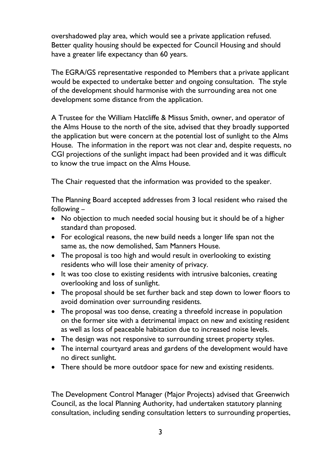overshadowed play area, which would see a private application refused. Better quality housing should be expected for Council Housing and should have a greater life expectancy than 60 years.

The EGRA/GS representative responded to Members that a private applicant would be expected to undertake better and ongoing consultation. The style of the development should harmonise with the surrounding area not one development some distance from the application.

A Trustee for the William Hatcliffe & Missus Smith, owner, and operator of the Alms House to the north of the site, advised that they broadly supported the application but were concern at the potential lost of sunlight to the Alms House. The information in the report was not clear and, despite requests, no CGI projections of the sunlight impact had been provided and it was difficult to know the true impact on the Alms House.

The Chair requested that the information was provided to the speaker.

The Planning Board accepted addresses from 3 local resident who raised the following –

- No objection to much needed social housing but it should be of a higher standard than proposed.
- For ecological reasons, the new build needs a longer life span not the same as, the now demolished, Sam Manners House.
- The proposal is too high and would result in overlooking to existing residents who will lose their amenity of privacy.
- It was too close to existing residents with intrusive balconies, creating overlooking and loss of sunlight.
- The proposal should be set further back and step down to lower floors to avoid domination over surrounding residents.
- The proposal was too dense, creating a threefold increase in population on the former site with a detrimental impact on new and existing resident as well as loss of peaceable habitation due to increased noise levels.
- The design was not responsive to surrounding street property styles.
- The internal courtyard areas and gardens of the development would have no direct sunlight.
- There should be more outdoor space for new and existing residents.

The Development Control Manager (Major Projects) advised that Greenwich Council, as the local Planning Authority, had undertaken statutory planning consultation, including sending consultation letters to surrounding properties,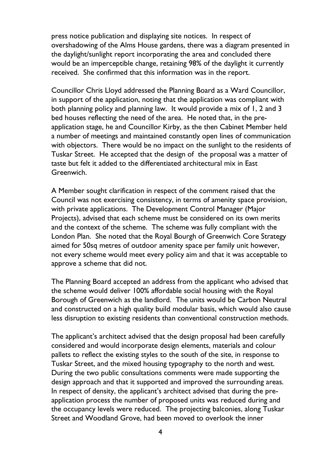press notice publication and displaying site notices. In respect of overshadowing of the Alms House gardens, there was a diagram presented in the daylight/sunlight report incorporating the area and concluded there would be an imperceptible change, retaining 98% of the daylight it currently received. She confirmed that this information was in the report.

Councillor Chris Lloyd addressed the Planning Board as a Ward Councillor, in support of the application, noting that the application was compliant with both planning policy and planning law. It would provide a mix of 1, 2 and 3 bed houses reflecting the need of the area. He noted that, in the preapplication stage, he and Councillor Kirby, as the then Cabinet Member held a number of meetings and maintained constantly open lines of communication with objectors. There would be no impact on the sunlight to the residents of Tuskar Street. He accepted that the design of the proposal was a matter of taste but felt it added to the differentiated architectural mix in East Greenwich.

A Member sought clarification in respect of the comment raised that the Council was not exercising consistency, in terms of amenity space provision, with private applications. The Development Control Manager (Major Projects), advised that each scheme must be considered on its own merits and the context of the scheme. The scheme was fully compliant with the London Plan. She noted that the Royal Bourgh of Greenwich Core Strategy aimed for 50sq metres of outdoor amenity space per family unit however, not every scheme would meet every policy aim and that it was acceptable to approve a scheme that did not.

The Planning Board accepted an address from the applicant who advised that the scheme would deliver 100% affordable social housing with the Royal Borough of Greenwich as the landlord. The units would be Carbon Neutral and constructed on a high quality build modular basis, which would also cause less disruption to existing residents than conventional construction methods.

The applicant's architect advised that the design proposal had been carefully considered and would incorporate design elements, materials and colour pallets to reflect the existing styles to the south of the site, in response to Tuskar Street, and the mixed housing typography to the north and west. During the two public consultations comments were made supporting the design approach and that it supported and improved the surrounding areas. In respect of density, the applicant's architect advised that during the preapplication process the number of proposed units was reduced during and the occupancy levels were reduced. The projecting balconies, along Tuskar Street and Woodland Grove, had been moved to overlook the inner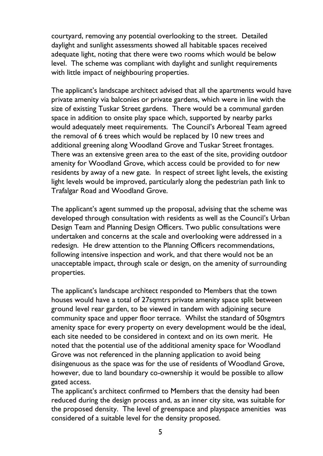courtyard, removing any potential overlooking to the street. Detailed daylight and sunlight assessments showed all habitable spaces received adequate light, noting that there were two rooms which would be below level. The scheme was compliant with daylight and sunlight requirements with little impact of neighbouring properties.

The applicant's landscape architect advised that all the apartments would have private amenity via balconies or private gardens, which were in line with the size of existing Tuskar Street gardens. There would be a communal garden space in addition to onsite play space which, supported by nearby parks would adequately meet requirements. The Council's Arboreal Team agreed the removal of 6 trees which would be replaced by 10 new trees and additional greening along Woodland Grove and Tuskar Street frontages. There was an extensive green area to the east of the site, providing outdoor amenity for Woodland Grove, which access could be provided to for new residents by away of a new gate. In respect of street light levels, the existing light levels would be improved, particularly along the pedestrian path link to Trafalgar Road and Woodland Grove.

The applicant's agent summed up the proposal, advising that the scheme was developed through consultation with residents as well as the Council's Urban Design Team and Planning Design Officers. Two public consultations were undertaken and concerns at the scale and overlooking were addressed in a redesign. He drew attention to the Planning Officers recommendations, following intensive inspection and work, and that there would not be an unacceptable impact, through scale or design, on the amenity of surrounding properties.

The applicant's landscape architect responded to Members that the town houses would have a total of 27sqmtrs private amenity space split between ground level rear garden, to be viewed in tandem with adjoining secure community space and upper floor terrace. Whilst the standard of 50sgmtrs amenity space for every property on every development would be the ideal, each site needed to be considered in context and on its own merit. He noted that the potential use of the additional amenity space for Woodland Grove was not referenced in the planning application to avoid being disingenuous as the space was for the use of residents of Woodland Grove, however, due to land boundary co-ownership it would be possible to allow gated access.

The applicant's architect confirmed to Members that the density had been reduced during the design process and, as an inner city site, was suitable for the proposed density. The level of greenspace and playspace amenities was considered of a suitable level for the density proposed.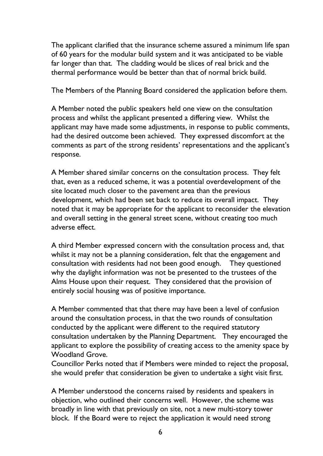The applicant clarified that the insurance scheme assured a minimum life span of 60 years for the modular build system and it was anticipated to be viable far longer than that. The cladding would be slices of real brick and the thermal performance would be better than that of normal brick build.

The Members of the Planning Board considered the application before them.

A Member noted the public speakers held one view on the consultation process and whilst the applicant presented a differing view. Whilst the applicant may have made some adjustments, in response to public comments, had the desired outcome been achieved. They expressed discomfort at the comments as part of the strong residents' representations and the applicant's response.

A Member shared similar concerns on the consultation process. They felt that, even as a reduced scheme, it was a potential overdevelopment of the site located much closer to the pavement area than the previous development, which had been set back to reduce its overall impact. They noted that it may be appropriate for the applicant to reconsider the elevation and overall setting in the general street scene, without creating too much adverse effect.

A third Member expressed concern with the consultation process and, that whilst it may not be a planning consideration, felt that the engagement and consultation with residents had not been good enough. They questioned why the daylight information was not be presented to the trustees of the Alms House upon their request. They considered that the provision of entirely social housing was of positive importance.

A Member commented that that there may have been a level of confusion around the consultation process, in that the two rounds of consultation conducted by the applicant were different to the required statutory consultation undertaken by the Planning Department. They encouraged the applicant to explore the possibility of creating access to the amenity space by Woodland Grove.

Councillor Perks noted that if Members were minded to reject the proposal, she would prefer that consideration be given to undertake a sight visit first.

A Member understood the concerns raised by residents and speakers in objection, who outlined their concerns well. However, the scheme was broadly in line with that previously on site, not a new multi-story tower block. If the Board were to reject the application it would need strong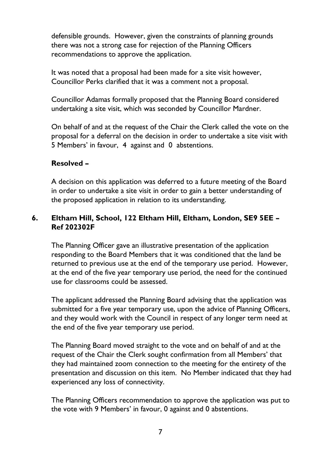defensible grounds. However, given the constraints of planning grounds there was not a strong case for rejection of the Planning Officers recommendations to approve the application.

It was noted that a proposal had been made for a site visit however, Councillor Perks clarified that it was a comment not a proposal.

Councillor Adamas formally proposed that the Planning Board considered undertaking a site visit, which was seconded by Councillor Mardner.

On behalf of and at the request of the Chair the Clerk called the vote on the proposal for a deferral on the decision in order to undertake a site visit with 5 Members' in favour, 4 against and 0 abstentions.

### **Resolved –**

A decision on this application was deferred to a future meeting of the Board in order to undertake a site visit in order to gain a better understanding of the proposed application in relation to its understanding.

## **6. Eltham Hill, School, 122 Eltham Hill, Eltham, London, SE9 5EE – Ref 202302F**

The Planning Officer gave an illustrative presentation of the application responding to the Board Members that it was conditioned that the land be returned to previous use at the end of the temporary use period. However, at the end of the five year temporary use period, the need for the continued use for classrooms could be assessed.

The applicant addressed the Planning Board advising that the application was submitted for a five year temporary use, upon the advice of Planning Officers, and they would work with the Council in respect of any longer term need at the end of the five year temporary use period.

The Planning Board moved straight to the vote and on behalf of and at the request of the Chair the Clerk sought confirmation from all Members' that they had maintained zoom connection to the meeting for the entirety of the presentation and discussion on this item. No Member indicated that they had experienced any loss of connectivity.

The Planning Officers recommendation to approve the application was put to the vote with 9 Members' in favour, 0 against and 0 abstentions.